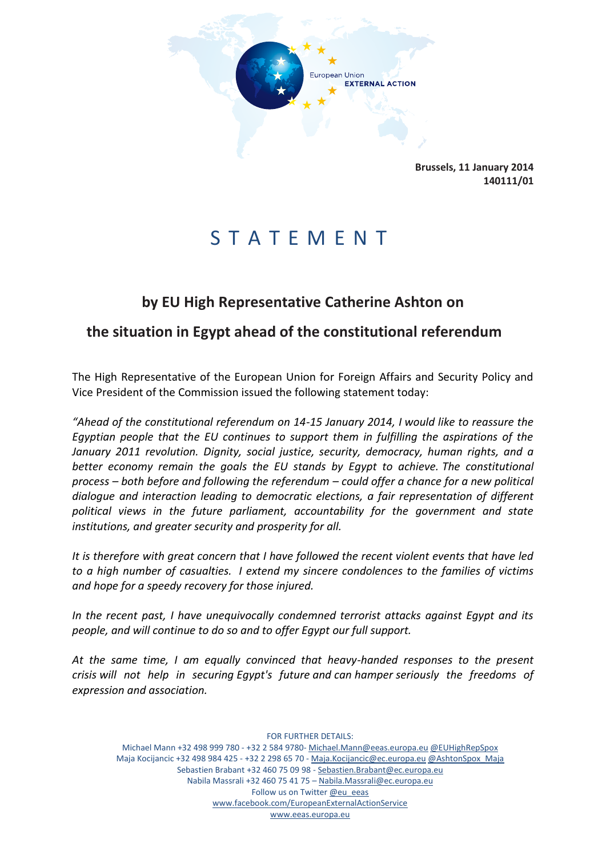

**Brussels, 11 January 2014 140111/01**

## S T A T E M E N T

## **by EU High Representative Catherine Ashton on**

## **the situation in Egypt ahead of the constitutional referendum**

The High Representative of the European Union for Foreign Affairs and Security Policy and Vice President of the Commission issued the following statement today:

*"Ahead of the constitutional referendum on 14-15 January 2014, I would like to reassure the Egyptian people that the EU continues to support them in fulfilling the aspirations of the January 2011 revolution. Dignity, social justice, security, democracy, human rights, and a better economy remain the goals the EU stands by Egypt to achieve. The constitutional process – both before and following the referendum – could offer a chance for a new political dialogue and interaction leading to democratic elections, a fair representation of different political views in the future parliament, accountability for the government and state institutions, and greater security and prosperity for all.*

*It is therefore with great concern that I have followed the recent violent events that have led to a high number of casualties. I extend my sincere condolences to the families of victims and hope for a speedy recovery for those injured.*

*In the recent past, I have unequivocally condemned terrorist attacks against Egypt and its people, and will continue to do so and to offer Egypt our full support.*

*At the same time, I am equally convinced that heavy-handed responses to the present crisis will not help in securing Egypt's future and can hamper seriously the freedoms of expression and association.*

FOR FURTHER DETAILS: Michael Mann +32 498 999 780 - +32 2 584 9780- Michael.Mann@eeas.europa.eu @EUHighRepSpox Maja Kocijancic +32 498 984 425 - +32 2 298 65 70 - Maja.Kocijancic@ec.europa.eu @AshtonSpox\_Maja Sebastien Brabant +32 460 75 09 98 - Sebastien.Brabant@ec.europa.eu Nabila Massrali +32 460 75 41 75 – Nabila.Massrali@ec.europa.eu Follow us on Twitter @eu\_eeas www.facebook.com/EuropeanExternalActionService www.eeas.europa.eu